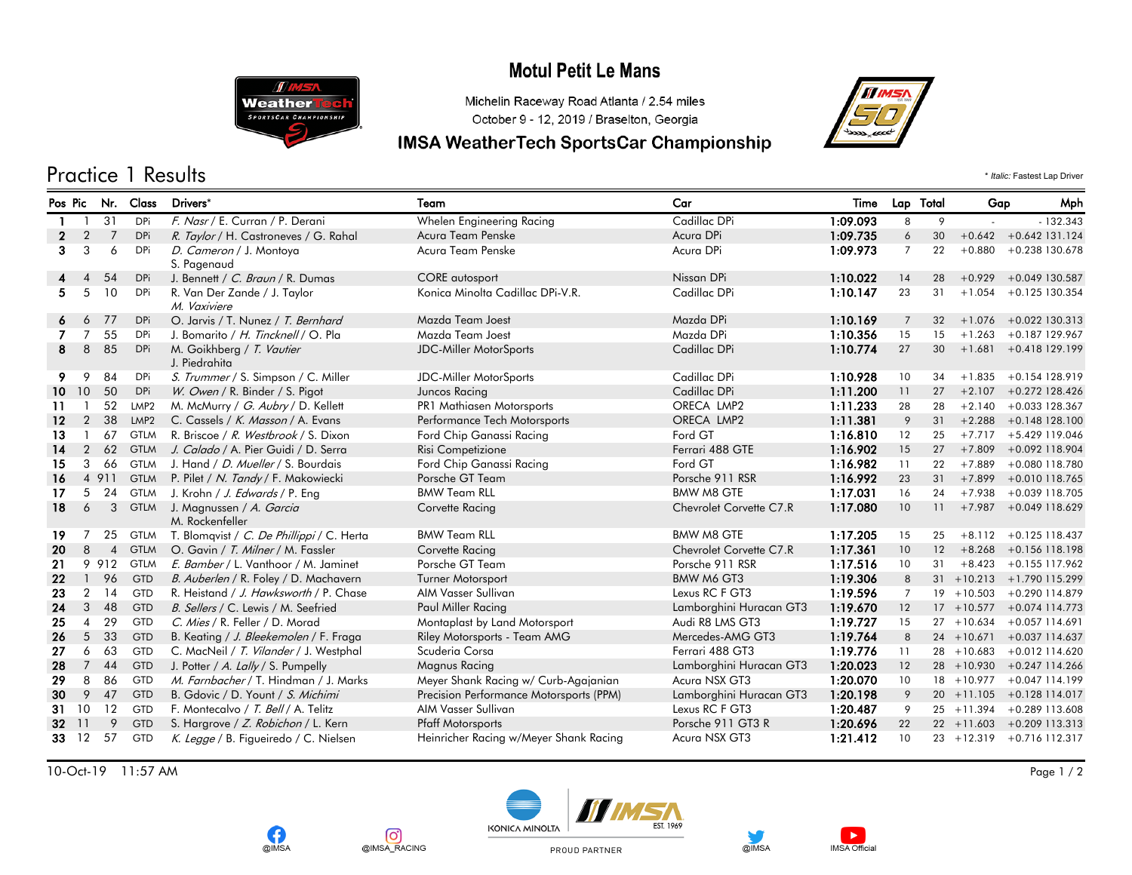## **Motul Petit Le Mans**



### Michelin Raceway Road Atlanta / 2.54 miles October 9 - 12, 2019 / Braselton, Georgia

### **IMSA WeatherTech SportsCar Championship**



Practice 1 Results \* *Italic:* Fastest Lap Driver

#### Pos Pic Nr. Class Drivers\* Team Car Time Lap Total Gap Mph 1 1 31 DPi F. Nasr / E. Curran / P. Derani Whelen Engineering Racing Cadillac DPi 1:09.093 8 9 - - 132.343 2 2 7 DPi *R. Taylor* / H. Castroneves / G. Rahal Acura Team Penske Acura DPi Acura DPi 1**:09.735** 6 30 +0.642 +0.642 131.124<br>2 3 3 6 DPi *D. Cameron* / J. Montova Acura Team Penske Acura DPi Acura DPi 1:**09.973** 7 22 +0.8 D. Cameron / J. Montoya 1:09.973 +0.880 +0.238 3 3 6 DPi Acura Team Penske Acura DPi 7 22 130.678 S. Pagenaud 4 4 54 DPi J. Bennett / C. Braun / R. Dumas CORE autosport CORE autosport Nissan DPi 1:10.022 14 28 +0.929 +0.049 130.587 R. Van Der Zande / J. Taylor 1:10.147 +1.054 +0.125 5 5 10 DPi Konica Minolta Cadillac DPi-V.R. Cadillac DPi 23 31 130.354 M. Vaxiviere 6 6 77 DPi O. Jarvis / T. Nunez / *T. Bernhard* Mazda Team Joest Mazda DPi Mazda DPi 1:10.169 7 32 +1.076 +0.022 130.313 7 7 55 DPi J. Bomarito / H. Tincknell / O. Pla Mazda Team Joest Mazda DPi Mazda DPi 1:10.356 15 15 +1.263 +0.187 129.967 8 85 DPi M. Goikhberg / *T. Vautier* 1:10.**774** 27 30 +1.681 +0.418129.199 30 +1.681 +0.418129.199 J. Piedrahita 9 9 84 DPi S. Trummer / S. Simpson / C. Miller JDC-Miller MotorSports Cadillac DPi 1:10.928 10 34 +1.835 +0.154 128.919 10 10 50 DPi W. Owen / R. Binder / S. Pigot Juncos Racing Cadillac DPi 1:11.200 11 27 +2.107 +0.272 128.426 11 1 52 LMP2 M. McMurry / *G. Aubry* / D. Kellett PR1 Mathiasen Motorsports ORECA LMP2 1:11.233 28 28 +2.140 +0.033 128.367<br>12 2 38 LMP2 C. Cassels / *K. Masson* / A. Evans Performance Tech Motorsports ORECA LMP2 1:11.381 12 2 38 LMP2 C. Cassels / K. Masson / A. Evans Performance Tech Motorsports CRECA LMP2 1:11.381 9 31 +2.288 +0.148 128.100 13 1 67 GTLM R. Briscoe / R. Westbrook / S. Dixon Ford Chip Ganassi Racing Ford GT 1:16.810 12 25 +7.717 +5.429 119.046 14 2 62 GTLM J. Calado / A. Pier Guidi / D. Serra Risi Competizione Risi Competizione Ferrari 488 GTE 1:16.902 15 27 +7.809 +0.092 118.904 15 3 66 GTLM J. Hand *| D. Mueller* / S. Bourdais Ford Chip Ganassi Racing Ford GT 1:16.982 11 22 +7.889 +0.080 118.780 16 4 911 GTLM P. Pilet / N. Tandy / F. Makowiecki Porsche GT Team Porsche 911 RSR 1:16.992 23 31 +7.899 +0.010 118.765 17 5 24 GTLM J. Krohn / J. Edwards / P. Eng BMW Team RLL BMW M8 GTE 1:17.031 16 24 +7.938 +0.039 118.705 18 6 3 GTLM J. Magnussen / *A. Garcia* Corvette Racing Corvette Racing Chevrolet Corvette C7.R 1:17.080 10 11 +7.987 +0.049 118.629 M. Rockenfeller 19 7 25 GTLM T. Blomqvist / C. De Phillippi / C. Herta BMW Team RLL BMW M8 GTE 1:17.205 15 25 +8.112 +0.125 118.437 20 8 4 GTLM O. Gavin / T. Milner / M. Fassler Corvette Racing Corvette Racing Chevrolet Corvette C7.R 1:17.361 10 12 +8.268 +0.156 118.198<br>21 9 912 GTLM *E. Bamber* / L. Vanthoor / M. Jaminet Porsche GT Team Porsche 911 RS 23 91 6 911 RSR 1:17.516 10 31 +8.423 +0.155 117.962 Porsche GT Team Porsche 911 RSR 1:17.516 10 31 +8.423 +0.155 117.962 22 1 96 GTD B. Auberlen / R. Foley / D. Machavern Turner Motorsport BMW M6 GT3 1:19.306 8 31 +10.213 +1.790 115.299 23 2 14 GTD R. Heistand / J. Hawksworth / P. Chase AIM Vasser Sullivan Lexus RC F GT3 1:19.596 7 19 +10.503 +0.290 114.879 24 3 48 GTD B. Sellers / C. Lewis / M. Seefried Paul Miller Racing Lamborghini Huracan GT3 1:19.670 12 17 +10.577 +0.074 114.773 25 4 29 GTD C. Mies / R. Feller / D. Morad Montaplast by Land Motorsport Audi R8 LMS GT3 1:19.727 15 27 +10.634 +0.057 114.691 26 5 33 GTD B. Keating / J. Bleekemolen / F. Fraga Riley Motorsports - Team AMG Mercedes-AMG GT3 1:19.764 8 24 +10.671 +0.037 114.637 27 6 63 GTD C. MacNeil / T. Vilander / J. Westphal Scuderia Corsa Summer Scuderia Corsa 1:19.776 11 28 +10.683 +0.012 114.620 28 7 44 GTD J. Potter / A. Lally / S. Pumpelly Magnus Racing Lamborghini Huracan GT3 1:20.023 12 28 +10.930 +0.247 114.266 29 8 86 GTD M. Farnbacher / T. Hindman / J. Marks Meyer Shank Racing w/ Curb-Agajanian Acura NSX GT3 1:20.070 10 18 +10.977 +0.047 114.199 30 9 47 GTD B. Gdovic / D. Yount / S. Michimi Precision Performance Motorsports (PPM) Lamborghini Huracan GT3 1:20.198 9 20 +11.105 +0.128 114.017 31 10 12 GTD F. Montecalvo / T. Bell / A. Telitz AIM Vasser Sullivan Lexus RC F GT3 1:20.487 9 25 +11.394 +0.289 113.608 32 11 9 GTD S. Hargrove / Z. Robichon / L. Kern Pfaff Motorsports Prosche 911 GT3 R 1:20.696 22 22 +11.603 +0.209 113.313 33 12 57 GTD K. Legge / B. Figueiredo / C. Nielsen Heinricher Racing w/Meyer Shank Racing Acura NSX GT3 1:21.412 10 23 +12.319 +0.716 112.317

10-Oct-19 11:57 AM Page 1 / 2













PROUD PARTNER